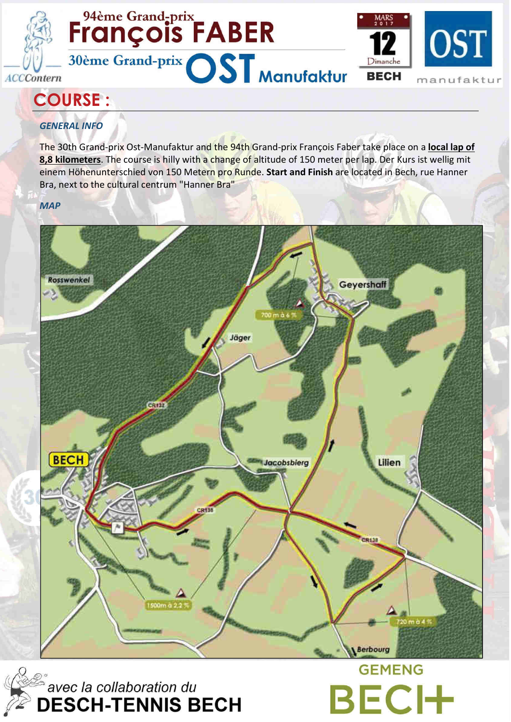

# <sup>94ème Grand-prix</sup><br>François FABER 30ème Grand-prix OST Manufaktur



**BECH** 

## COURSE :

## GENERAL INFO

The 30th Grand-prix Ost-Manufaktur and the 94th Grand-prix François Faber take place on a local lap of 8,8 kilometers. The course is hilly with a change of altitude of 150 meter per lap. Der Kurs ist wellig mit einem Höhenunterschied von 150 Metern pro Runde. Start and Finish are located in Bech, rue Hanner Bra, next to the cultural centrum "Hanner Bra"

### **MAP**



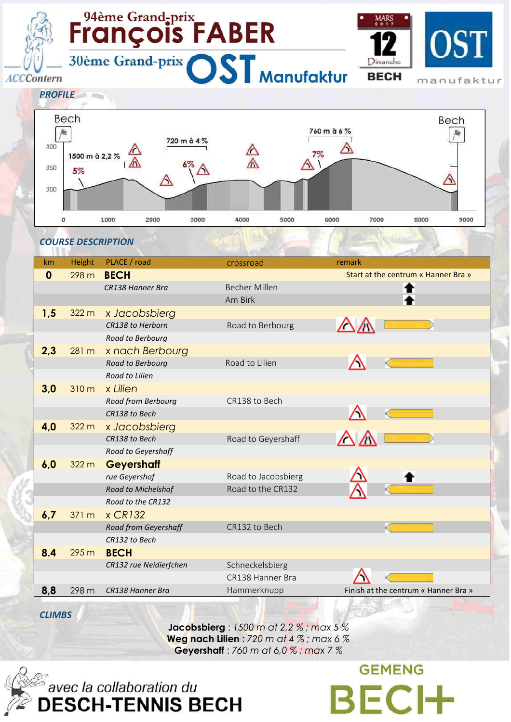#### <sup>94ème Grand-prix</sup><br>François FABER MARS  $\int_{mtern}$  30ème Grand-prix  $OST$  Manufaktur Dimanche **BECH ACCContern** manufaktur Bech Bech 760 m à 6 % 海 胸 720 m à 4 % 400 Α  $\mathbb{A}$  $7%$ 1500 m à 2.2 %  $\Delta$ 350 5%

4000

5000

6000

7000

8000

9000

| $\boldsymbol{0}$ | 298 m | <b>BECH</b>            |                      | Start at the centrum « Hanner Bra »  |
|------------------|-------|------------------------|----------------------|--------------------------------------|
|                  |       | CR138 Hanner Bra       | <b>Becher Millen</b> |                                      |
|                  |       |                        | Am Birk              |                                      |
| 1,5              | 322 m | x Jacobsbierg          |                      |                                      |
|                  |       | CR138 to Herborn       | Road to Berbourg     |                                      |
|                  |       | Road to Berbourg       |                      |                                      |
| 2,3              | 281 m | x nach Berbourg        |                      |                                      |
|                  |       | Road to Berbourg       | Road to Lilien       |                                      |
|                  |       | Road to Lilien         |                      |                                      |
| 3,0              | 310 m | x Lilien               |                      |                                      |
|                  |       | Road from Berbourg     | CR138 to Bech        |                                      |
|                  |       | CR138 to Bech          |                      |                                      |
| 4,0              | 322 m | x Jacobsbierg          |                      |                                      |
|                  |       | CR138 to Bech          | Road to Geyershaff   |                                      |
|                  |       | Road to Geyershaff     |                      |                                      |
| 6,0              | 322 m | <b>Geyershaff</b>      |                      |                                      |
|                  |       | rue Geyershof          | Road to Jacobsbierg  |                                      |
|                  |       | Road to Michelshof     | Road to the CR132    |                                      |
|                  |       | Road to the CR132      |                      |                                      |
| 6,7              | 371 m | $x$ CR132              |                      |                                      |
|                  |       | Road from Geyershaff   | CR132 to Bech        |                                      |
|                  |       | CR132 to Bech          |                      |                                      |
| 8.4              | 295 m | <b>BECH</b>            |                      |                                      |
|                  |       | CR132 rue Neidierfchen | Schneckelsbierg      |                                      |
|                  |       |                        | CR138 Hanner Bra     |                                      |
| 8,8              | 298 m | CR138 Hanner Bra       | Hammerknupp          | Finish at the centrum « Hanner Bra » |

km Height PLACE / road crossroad remark

3000

**CLIMBS** 

COURSE DESCRIPTION

1000

2000

300

o

**Jacobsbierg** : 1500 m at 2,2 % ; max 5 % Weg nach Lilien :  $720$  m at 4 %; max 6 % Geyershaff : 760 m at 6,0 % ; max 7 %



**GEMENG BECH**